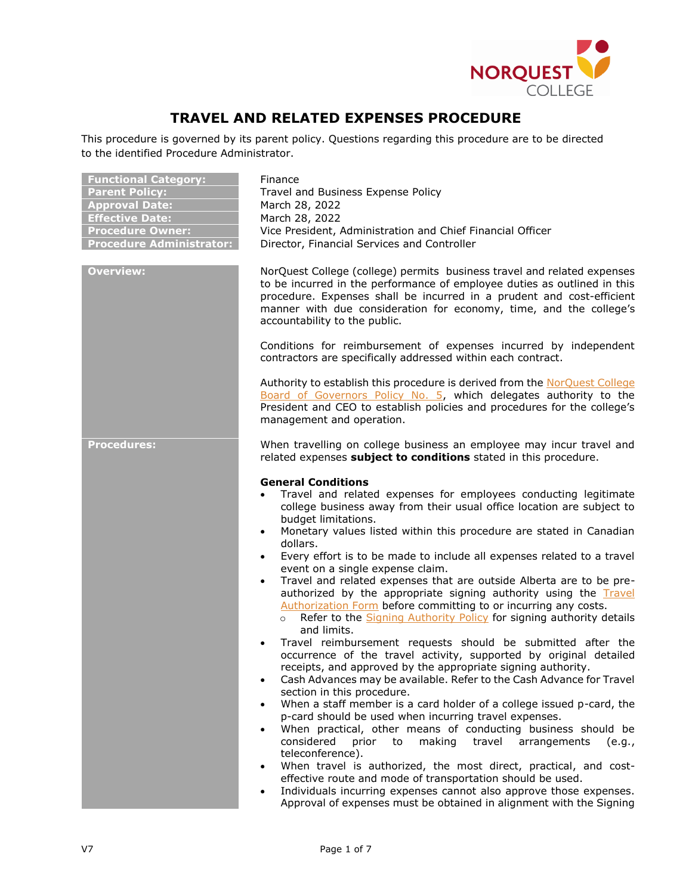

# **TRAVEL AND RELATED EXPENSES PROCEDURE**

This procedure is governed by its parent policy. Questions regarding this procedure are to be directed to the identified Procedure Administrator.

| <b>Functional Category:</b>     |
|---------------------------------|
| <b>Parent Policy:</b>           |
| <b>Approval Date:</b>           |
| <b>Effective Date:</b>          |
| <b>Procedure Owner:</b>         |
| <b>Procedure Administrator:</b> |

**Finance Parent Policy:** Travel and Business Expense Policy **Approval Date:** March 28, 2022 **Effective Date:** March 28, 2022 Vice President, Administration and Chief Financial Officer **Prince Administrator: Property Procedure Administrator: Property Procedure Procedure Administrator:** 

**Overview:** NorQuest College (college) permits business travel and related expenses to be incurred in the performance of employee duties as outlined in this procedure. Expenses shall be incurred in a prudent and cost-efficient manner with due consideration for economy, time, and the college's accountability to the public.

> Conditions for reimbursement of expenses incurred by independent contractors are specifically addressed within each contract.

> Authority to establish this procedure is derived from the [NorQuest College](https://www.norquest.ca/NorquestCollege/media/pdf/about-us/board/policies-procedures/05-Board-Policy_Delegate_authority_to_President.pdf)  [Board of Governors Policy No. 5,](https://www.norquest.ca/NorquestCollege/media/pdf/about-us/board/policies-procedures/05-Board-Policy_Delegate_authority_to_President.pdf) which delegates authority to the President and CEO to establish policies and procedures for the college's management and operation.

**Procedures:** When travelling on college business an employee may incur travel and related expenses **subject to conditions** stated in this procedure.

## **General Conditions**

- Travel and related expenses for employees conducting legitimate college business away from their usual office location are subject to budget limitations.
- Monetary values listed within this procedure are stated in Canadian dollars.
- Every effort is to be made to include all expenses related to a travel event on a single expense claim.
- Travel and related expenses that are outside Alberta are to be preauthorized by the appropriate signing authority using the [Travel](http://theq.norquest.ca/Departments/IPBMFS/Public-Documents/Forms/Travel-Authorization-Form.aspx)  [Authorization Form](http://theq.norquest.ca/Departments/IPBMFS/Public-Documents/Forms/Travel-Authorization-Form.aspx) before committing to or incurring any costs.
	- o Refer to the [Signing Authority Policy](http://www.norquest.ca/about-us/policies-procedures/finance/signing-authority-policy.aspx) for signing authority details and limits.
- Travel reimbursement requests should be submitted after the occurrence of the travel activity, supported by original detailed receipts, and approved by the appropriate signing authority.
- Cash Advances may be available. Refer to the Cash Advance for Travel section in this procedure.
- When a staff member is a card holder of a college issued p-card, the p-card should be used when incurring travel expenses.
- When practical, other means of conducting business should be considered prior to making travel arrangements (e.g., teleconference).
- When travel is authorized, the most direct, practical, and costeffective route and mode of transportation should be used.
- Individuals incurring expenses cannot also approve those expenses. Approval of expenses must be obtained in alignment with the Signing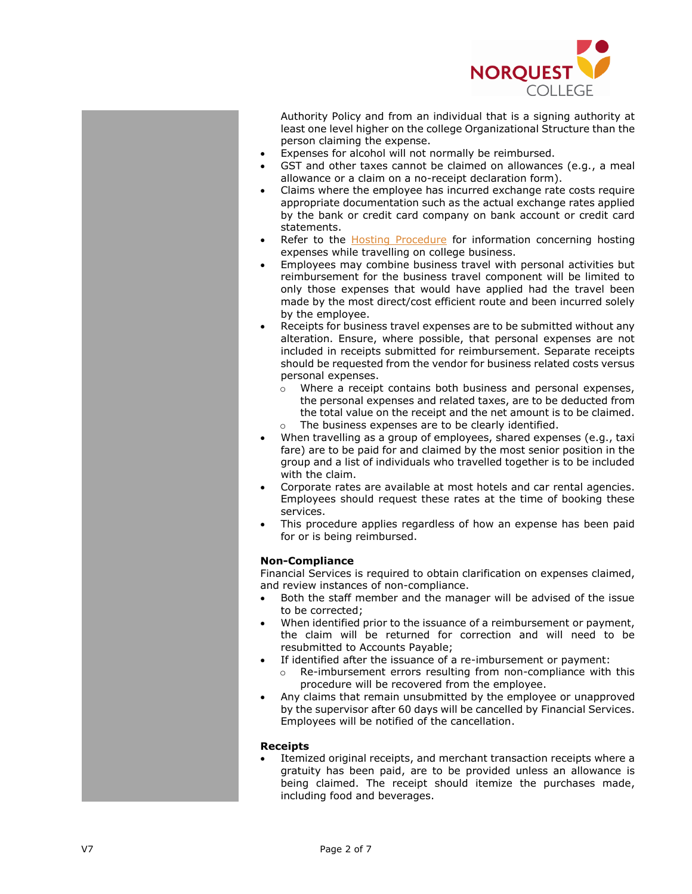

Authority Policy and from an individual that is a signing authority at least one level higher on the college Organizational Structure than the person claiming the expense.

- Expenses for alcohol will not normally be reimbursed.
- GST and other taxes cannot be claimed on allowances (e.g. , a meal allowance or a claim on a no -receipt declaration form).
- Claims where the employee has incurred exchange rate costs require appropriate documentation such as the actual exchange rates applied by the bank or credit card company on bank account or credit card statements.
- Refer to the **Hosting Procedure** for information concerning hosting expenses while travelling on college business.
- Employees may combine business travel with personal activities but reimbursement for the business travel component will be limited to only those expenses that would have applied had the travel been made by the most direct/cost efficient route and been incurred solely by the employee.
- Receipts for business travel expenses are to be submitted without any alteration. Ensure, where possible, that personal expenses are not included in receipts submitted for reimbursement. Separate receipts should be requested from the vendor for business related costs versus personal expenses.
	- o Where a receipt contains both business and personal expenses, the personal expenses and related taxes, are to be deducted from the total value on the receipt and the net amount is to be claimed. o The business expenses are to be clearly identified .
- When travelling as a group of employees, shared expenses (e.g. , taxi fare ) are to be paid for and claimed by the most senior position in the group and a list of individuals who travelled together is to be included with the claim.
- Corporate rates are available at most hotels and car rental agencies. Employees should request these rates at the time of booking these services.
- This procedure applies regardless of how an expense has been paid for or is being reimbursed.

## **Non -Compliance**

Financial Services is required to obtain clarification on expenses claimed, and review instances of non -compliance.

- Both the staff member and the manager will be advised of the issue to be corrected ;
- When identified prior to the issuance of a reimbursement or payment, the claim will be returned for correction and will need to be resubmitted to Accounts Payable;
- If identified after the issuance of a re -imbursement or payment :
	- o Re -imbursement errors resulting from non -compliance with this procedure will be recovered from the employee .
- Any claims that remain unsubmitted by the employee or unapproved by the supervisor after 60 days will be cancelled by Financial Services . Employees will be notified of the cancellation .

## **Receipts**

• Itemized original receipts, and merchant transaction receipts where a gratuity has been paid, are to be provided unless an allowance is being claimed. The receipt should itemize the purchases made , including food and beverages.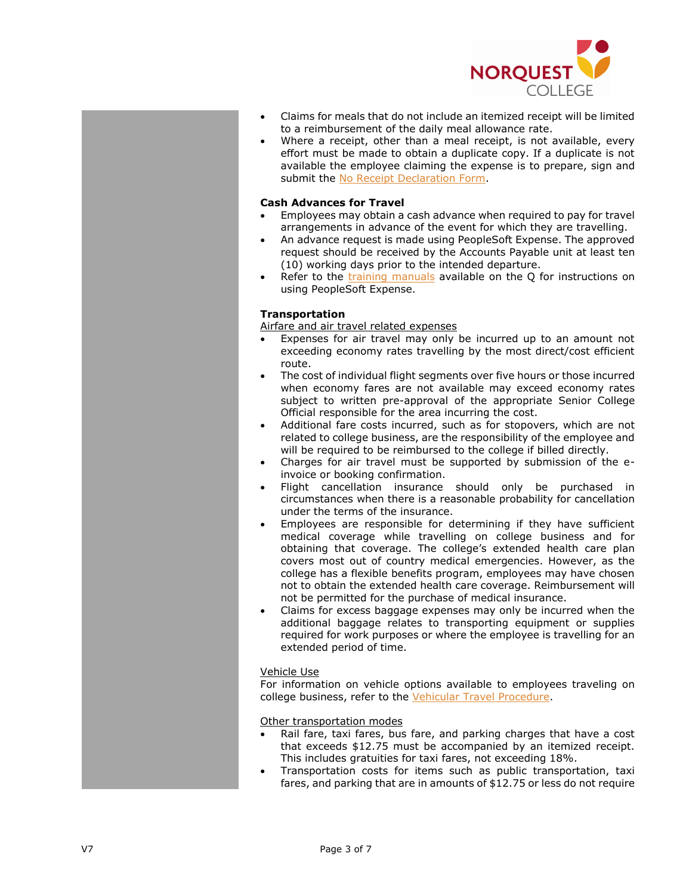

- Claims for meals that do not include an itemized receipt will be limited to a reimbursement of the daily meal allowance rate.
- Where a receipt, other than a meal receipt, is not available, every effort must be made to obtain a duplicate copy. If a duplicate is not available the employee claiming the expense is to prepare, sign and submit the [No Receipt Declaration Form.](http://theq.norquest.ca/Departments/IPBMFS/Public-Documents/Forms/No-Receipt-Declaration-Form.aspx)

## **Cash Advances for Travel**

- Employees may obtain a cash advance when required to pay for travel arrangements in advance of the event for which they are travelling.
- An advance request is made using PeopleSoft Expense. The approved request should be received by the Accounts Payable unit at least ten (10) working days prior to the intended departure.
- Refer to the [training manuals](https://theq.norquest.ca/Resources/PeopleSoft-Support/PeopleSoft-Training-Resources.aspx) available on the Q for instructions on using PeopleSoft Expense.

## **Transportation**

Airfare and air travel related expenses

- Expenses for air travel may only be incurred up to an amount not exceeding economy rates travelling by the most direct/cost efficient route.
- The cost of individual flight segments over five hours or those incurred when economy fares are not available may exceed economy rates subject to written pre-approval of the appropriate Senior College Official responsible for the area incurring the cost.
- Additional fare costs incurred, such as for stopovers, which are not related to college business, are the responsibility of the employee and will be required to be reimbursed to the college if billed directly.
- Charges for air travel must be supported by submission of the einvoice or booking confirmation.
- Flight cancellation insurance should only be purchased in circumstances when there is a reasonable probability for cancellation under the terms of the insurance.
- Employees are responsible for determining if they have sufficient medical coverage while travelling on college business and for obtaining that coverage. The college's extended health care plan covers most out of country medical emergencies. However, as the college has a flexible benefits program, employees may have chosen not to obtain the extended health care coverage. Reimbursement will not be permitted for the purchase of medical insurance.
- Claims for excess baggage expenses may only be incurred when the additional baggage relates to transporting equipment or supplies required for work purposes or where the employee is travelling for an extended period of time.

## Vehicle Use

For information on vehicle options available to employees traveling on college business, refer to the Vehicular Travel [Procedure.](https://www.norquest.ca/about-us/policies-and-procedures/finance/travel-and-business-expense-policy/vehicular-travel-procedure.aspx)

Other transportation modes

- Rail fare, taxi fares, bus fare, and parking charges that have a cost that exceeds \$12.75 must be accompanied by an itemized receipt. This includes gratuities for taxi fares, not exceeding 18%.
- Transportation costs for items such as public transportation, taxi fares, and parking that are in amounts of \$12.75 or less do not require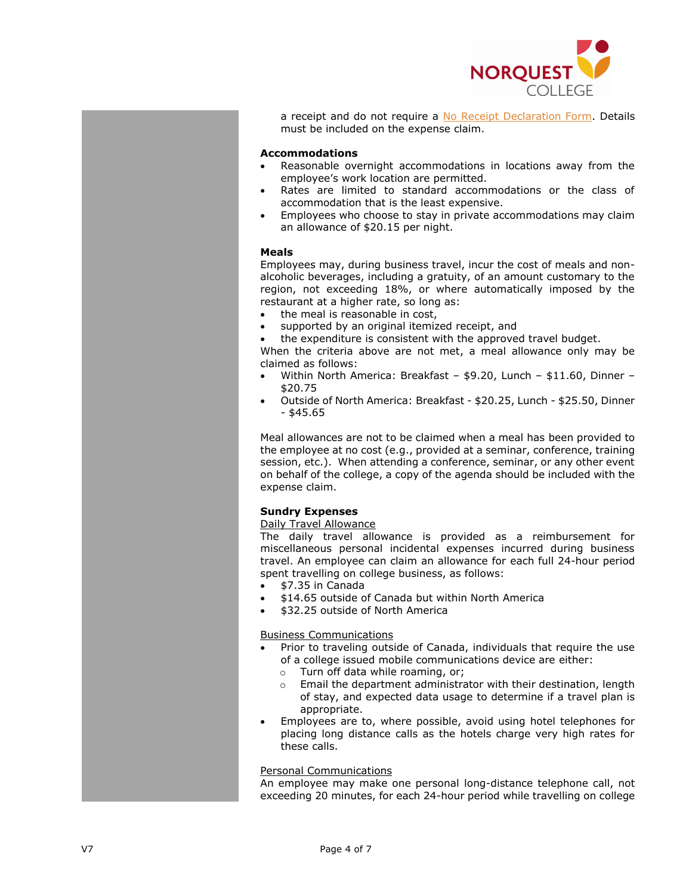

a receipt and do not require a [No Receipt Declaration Form.](http://theq.norquest.ca/Departments/IPBMFS/Public-Documents/Forms/No-Receipt-Declaration-Form.aspx) Details must be included on the expense claim.

## **Accommodations**

- Reasonable overnight accommodations in locations away from the employee's work location are permitted.
- Rates are limited to standard accommodations or the class of accommodation that is the least expensive.
- Employees who choose to stay in private accommodations may claim an allowance of \$20.15 per night.

## **Meals**

Employees may, during business travel, incur the cost of meals and nonalcoholic beverages, including a gratuity, of an amount customary to the region, not exceeding 18%, or where automatically imposed by the restaurant at a higher rate, so long as:

- the meal is reasonable in cost.
- supported by an original itemized receipt, and
- the expenditure is consistent with the approved travel budget.

When the criteria above are not met, a meal allowance only may be claimed as follows:

- Within North America: Breakfast \$9.20, Lunch \$11.60, Dinner \$20.75
- Outside of North America: Breakfast \$20.25, Lunch \$25.50, Dinner  $-$  \$45.65

Meal allowances are not to be claimed when a meal has been provided to the employee at no cost (e.g., provided at a seminar, conference, training session, etc.). When attending a conference, seminar, or any other event on behalf of the college, a copy of the agenda should be included with the expense claim.

## **Sundry Expenses**

## Daily Travel Allowance

The daily travel allowance is provided as a reimbursement for miscellaneous personal incidental expenses incurred during business travel. An employee can claim an allowance for each full 24-hour period spent travelling on college business, as follows:

- \$7.35 in Canada
- \$14.65 outside of Canada but within North America
- \$32.25 outside of North America

## Business Communications

- Prior to traveling outside of Canada, individuals that require the use of a college issued mobile communications device are either:
	- o Turn off data while roaming, or;
	- o Email the department administrator with their destination, length of stay, and expected data usage to determine if a travel plan is appropriate.
- Employees are to, where possible, avoid using hotel telephones for placing long distance calls as the hotels charge very high rates for these calls.

## Personal Communications

An employee may make one personal long-distance telephone call, not exceeding 20 minutes, for each 24-hour period while travelling on college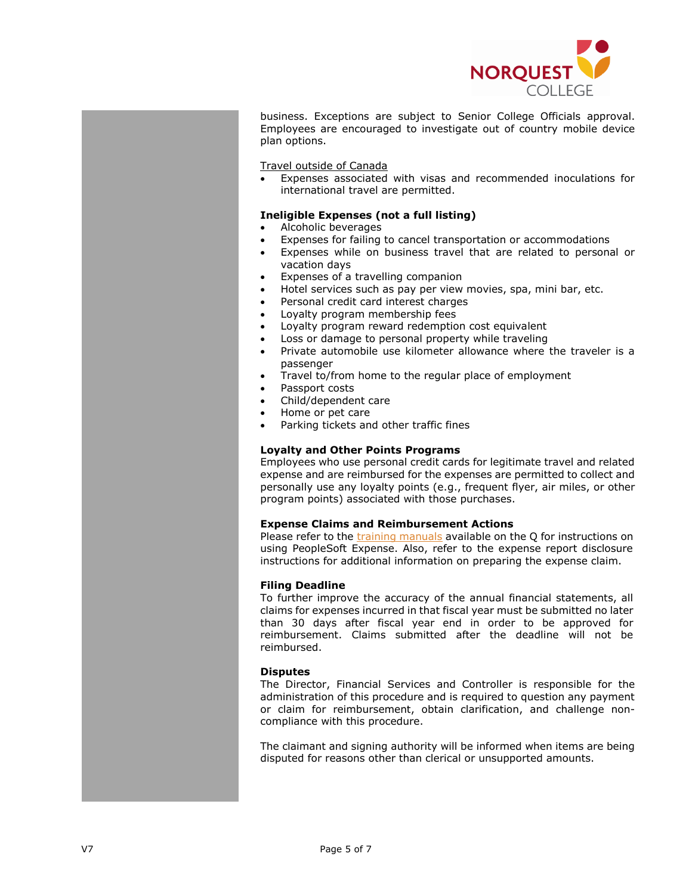

business. Exceptions are subject to Senior College Officials approval. Employees are encouraged to investigate out of country mobile device plan options.

Travel outside of Canada

• Expenses associated with visas and recommended inoculations for international travel are permitted.

#### **Ineligible Expenses (not a full listing)**

- Alcoholic beverages
- Expenses for failing to cancel transportation or accommodations
- Expenses while on business travel that are related to personal or vacation days
- Expenses of a travelling companion
- Hotel services such as pay per view movies, spa, mini bar, etc.
- Personal credit card interest charges
- Loyalty program membership fees
- Loyalty program reward redemption cost equivalent
- Loss or damage to personal property while traveling
- Private automobile use kilometer allowance where the traveler is a passenger
- Travel to/from home to the regular place of employment
- Passport costs
- Child/dependent care
- Home or pet care
- Parking tickets and other traffic fines

## **Loyalty and Other Points Programs**

Employees who use personal credit cards for legitimate travel and related expense and are reimbursed for the expenses are permitted to collect and personally use any loyalty points (e.g., frequent flyer, air miles, or other program points) associated with those purchases.

#### **Expense Claims and Reimbursement Actions**

Please refer to the [training manuals](https://theq.norquest.ca/Resources/PeopleSoft-Support/PeopleSoft-Training-Resources.aspx) available on the O for instructions on using PeopleSoft Expense. Also, refer to the expense report disclosure instructions for additional information on preparing the expense claim.

## **Filing Deadline**

To further improve the accuracy of the annual financial statements, all claims for expenses incurred in that fiscal year must be submitted no later than 30 days after fiscal year end in order to be approved for reimbursement. Claims submitted after the deadline will not be reimbursed.

## **Disputes**

The Director, Financial Services and Controller is responsible for the administration of this procedure and is required to question any payment or claim for reimbursement, obtain clarification, and challenge noncompliance with this procedure.

The claimant and signing authority will be informed when items are being disputed for reasons other than clerical or unsupported amounts.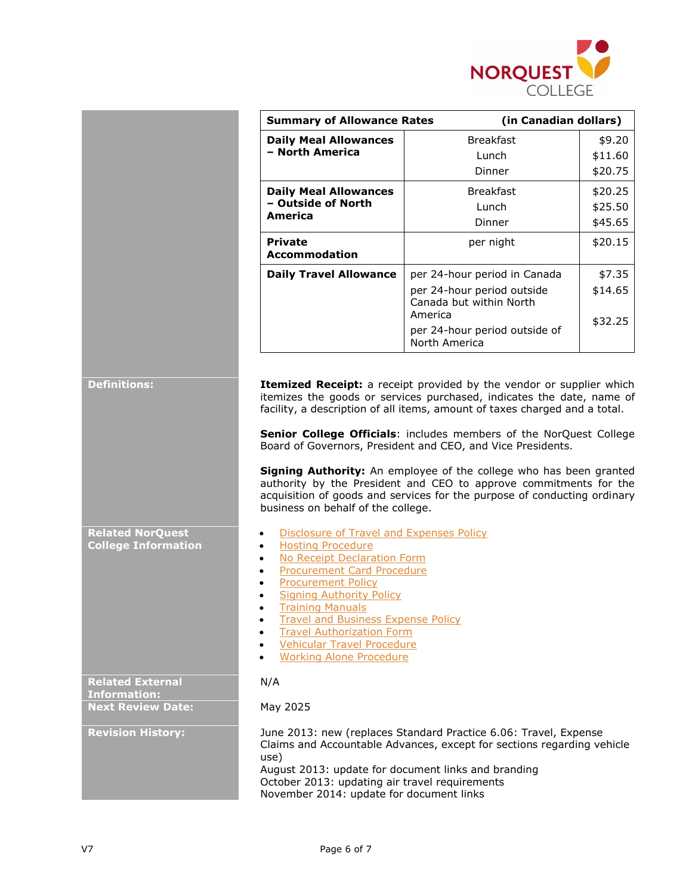

|                                                       | <b>Summary of Allowance Rates</b>                                                                                                                                                                                                                                                                                                                                                                                                                                                                                                                                                                                                                                                                      |                                                                  | (in Canadian dollars) |  |
|-------------------------------------------------------|--------------------------------------------------------------------------------------------------------------------------------------------------------------------------------------------------------------------------------------------------------------------------------------------------------------------------------------------------------------------------------------------------------------------------------------------------------------------------------------------------------------------------------------------------------------------------------------------------------------------------------------------------------------------------------------------------------|------------------------------------------------------------------|-----------------------|--|
|                                                       | <b>Daily Meal Allowances</b><br>- North America                                                                                                                                                                                                                                                                                                                                                                                                                                                                                                                                                                                                                                                        | <b>Breakfast</b>                                                 | \$9.20                |  |
|                                                       |                                                                                                                                                                                                                                                                                                                                                                                                                                                                                                                                                                                                                                                                                                        | Lunch                                                            | \$11.60               |  |
|                                                       |                                                                                                                                                                                                                                                                                                                                                                                                                                                                                                                                                                                                                                                                                                        | Dinner                                                           | \$20.75               |  |
|                                                       | <b>Daily Meal Allowances</b>                                                                                                                                                                                                                                                                                                                                                                                                                                                                                                                                                                                                                                                                           | <b>Breakfast</b>                                                 | \$20.25               |  |
|                                                       | - Outside of North<br>America                                                                                                                                                                                                                                                                                                                                                                                                                                                                                                                                                                                                                                                                          | Lunch                                                            | \$25.50               |  |
|                                                       |                                                                                                                                                                                                                                                                                                                                                                                                                                                                                                                                                                                                                                                                                                        | Dinner                                                           | \$45.65               |  |
|                                                       | <b>Private</b><br><b>Accommodation</b>                                                                                                                                                                                                                                                                                                                                                                                                                                                                                                                                                                                                                                                                 | per night                                                        | \$20.15               |  |
|                                                       | <b>Daily Travel Allowance</b>                                                                                                                                                                                                                                                                                                                                                                                                                                                                                                                                                                                                                                                                          | per 24-hour period in Canada                                     | \$7.35                |  |
|                                                       |                                                                                                                                                                                                                                                                                                                                                                                                                                                                                                                                                                                                                                                                                                        | per 24-hour period outside<br>Canada but within North<br>America | \$14.65<br>\$32.25    |  |
|                                                       |                                                                                                                                                                                                                                                                                                                                                                                                                                                                                                                                                                                                                                                                                                        | per 24-hour period outside of<br>North America                   |                       |  |
| <b>Related NorQuest</b><br><b>College Information</b> | Senior College Officials: includes members of the NorQuest College<br>Board of Governors, President and CEO, and Vice Presidents.<br>Signing Authority: An employee of the college who has been granted<br>authority by the President and CEO to approve commitments for the<br>acquisition of goods and services for the purpose of conducting ordinary<br>business on behalf of the college.<br>Disclosure of Travel and Expenses Policy<br>$\bullet$<br><b>Hosting Procedure</b><br>$\bullet$<br>No Receipt Declaration Form<br>$\bullet$<br><b>Procurement Card Procedure</b><br>$\bullet$<br><b>Procurement Policy</b><br>$\bullet$<br><b>Signing Authority Policy</b><br><b>Training Manuals</b> |                                                                  |                       |  |
|                                                       | <b>Travel and Business Expense Policy</b><br><b>Travel Authorization Form</b><br><b>Vehicular Travel Procedure</b><br><b>Working Alone Procedure</b>                                                                                                                                                                                                                                                                                                                                                                                                                                                                                                                                                   |                                                                  |                       |  |
| <b>Related External</b><br><b>Information:</b>        | N/A                                                                                                                                                                                                                                                                                                                                                                                                                                                                                                                                                                                                                                                                                                    |                                                                  |                       |  |
| <b>Next Review Date:</b>                              | May 2025                                                                                                                                                                                                                                                                                                                                                                                                                                                                                                                                                                                                                                                                                               |                                                                  |                       |  |
| <b>Revision History:</b>                              | June 2013: new (replaces Standard Practice 6.06: Travel, Expense<br>Claims and Accountable Advances, except for sections regarding vehicle<br>use)                                                                                                                                                                                                                                                                                                                                                                                                                                                                                                                                                     |                                                                  |                       |  |
|                                                       | August 2013: update for document links and branding<br>October 2013: updating air travel requirements                                                                                                                                                                                                                                                                                                                                                                                                                                                                                                                                                                                                  |                                                                  |                       |  |

November 2014: update for document links